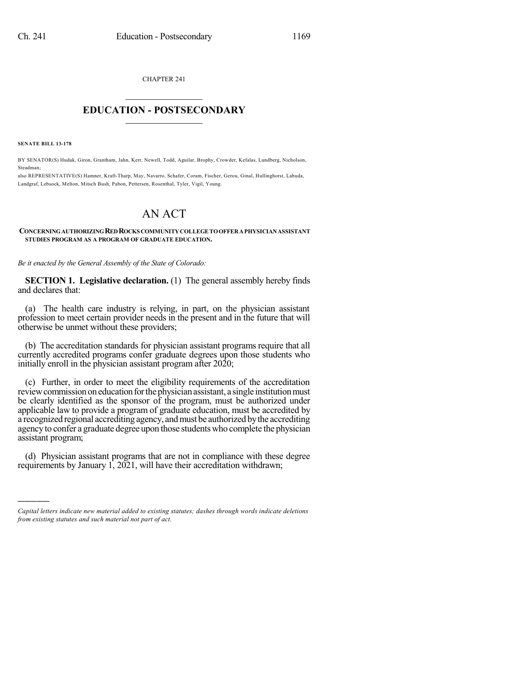CHAPTER 241  $\overline{\phantom{a}}$  . The set of the set of the set of the set of the set of the set of the set of the set of the set of the set of the set of the set of the set of the set of the set of the set of the set of the set of the set o

## **EDUCATION - POSTSECONDARY**  $\frac{1}{2}$  ,  $\frac{1}{2}$  ,  $\frac{1}{2}$  ,  $\frac{1}{2}$  ,  $\frac{1}{2}$  ,  $\frac{1}{2}$  ,  $\frac{1}{2}$

**SENATE BILL 13-178**

)))))

BY SENATOR(S) Hudak, Giron, Grantham, Jahn, Kerr, Newell, Todd, Aguilar, Brophy, Crowder, Kefalas, Lundberg, Nicholson, Steadman;

also REPRESENTATIVE(S) Hamner, Kraft-Tharp, May, Navarro, Schafer, Coram, Fischer, Gerou, Ginal, Hullinghorst, Labuda, Landgraf, Lebsock, Melton, Mitsch Bush, Pabon, Pettersen, Rosenthal, Tyler, Vigil, Young.

## AN ACT

## **CONCERNINGAUTHORIZINGREDROCKSCOMMUNITYCOLLEGE TOOFFERAPHYSICIANASSISTANT STUDIES PROGRAM AS A PROGRAM OF GRADUATE EDUCATION.**

*Be it enacted by the General Assembly of the State of Colorado:*

**SECTION 1. Legislative declaration.** (1) The general assembly hereby finds and declares that:

(a) The health care industry is relying, in part, on the physician assistant profession to meet certain provider needs in the present and in the future that will otherwise be unmet without these providers;

(b) The accreditation standards for physician assistant programs require that all currently accredited programs confer graduate degrees upon those students who initially enroll in the physician assistant program after 2020;

(c) Further, in order to meet the eligibility requirements of the accreditation review commission on education for the physician assistant, a single institution must be clearly identified as the sponsor of the program, must be authorized under applicable law to provide a program of graduate education, must be accredited by a recognized regional accrediting agency, andmust be authorized bythe accrediting agency to confer a graduate degree upon those students who complete the physician assistant program;

(d) Physician assistant programs that are not in compliance with these degree requirements by January 1, 2021, will have their accreditation withdrawn;

*Capital letters indicate new material added to existing statutes; dashes through words indicate deletions from existing statutes and such material not part of act.*